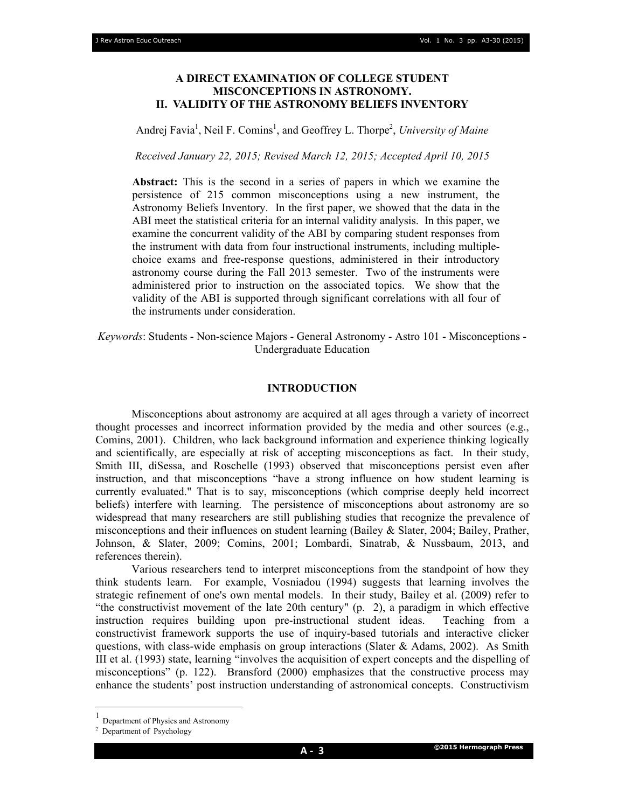## **A DIRECT EXAMINATION OF COLLEGE STUDENT MISCONCEPTIONS IN ASTRONOMY. II. VALIDITY OF THE ASTRONOMY BELIEFS INVENTORY**

Andrej Favia<sup>1</sup>, Neil F. Comins<sup>1</sup>, and Geoffrey L. Thorpe<sup>2</sup>, University of Maine

*Received January 22, 2015; Revised March 12, 2015; Accepted April 10, 2015* 

**Abstract:** This is the second in a series of papers in which we examine the persistence of 215 common misconceptions using a new instrument, the Astronomy Beliefs Inventory. In the first paper, we showed that the data in the ABI meet the statistical criteria for an internal validity analysis. In this paper, we examine the concurrent validity of the ABI by comparing student responses from the instrument with data from four instructional instruments, including multiplechoice exams and free-response questions, administered in their introductory astronomy course during the Fall 2013 semester. Two of the instruments were administered prior to instruction on the associated topics. We show that the validity of the ABI is supported through significant correlations with all four of the instruments under consideration.

*Keywords*: Students - Non-science Majors - General Astronomy - Astro 101 - Misconceptions - Undergraduate Education

### **INTRODUCTION**

 Misconceptions about astronomy are acquired at all ages through a variety of incorrect thought processes and incorrect information provided by the media and other sources (e.g., Comins, 2001). Children, who lack background information and experience thinking logically and scientifically, are especially at risk of accepting misconceptions as fact. In their study, Smith III, diSessa, and Roschelle (1993) observed that misconceptions persist even after instruction, and that misconceptions "have a strong influence on how student learning is currently evaluated." That is to say, misconceptions (which comprise deeply held incorrect beliefs) interfere with learning. The persistence of misconceptions about astronomy are so widespread that many researchers are still publishing studies that recognize the prevalence of misconceptions and their influences on student learning (Bailey & Slater, 2004; Bailey, Prather, Johnson, & Slater, 2009; Comins, 2001; Lombardi, Sinatrab, & Nussbaum, 2013, and references therein).

 Various researchers tend to interpret misconceptions from the standpoint of how they think students learn. For example, Vosniadou (1994) suggests that learning involves the strategic refinement of one's own mental models. In their study, Bailey et al. (2009) refer to "the constructivist movement of the late 20th century" (p. 2), a paradigm in which effective instruction requires building upon pre-instructional student ideas. Teaching from a constructivist framework supports the use of inquiry-based tutorials and interactive clicker questions, with class-wide emphasis on group interactions (Slater  $\&$  Adams, 2002). As Smith III et al. (1993) state, learning "involves the acquisition of expert concepts and the dispelling of misconceptions" (p. 122). Bransford (2000) emphasizes that the constructive process may enhance the students' post instruction understanding of astronomical concepts. Constructivism

 $\overline{a}$ 

<sup>1</sup> Department of Physics and Astronomy

<sup>&</sup>lt;sup>2</sup> Department of Psychology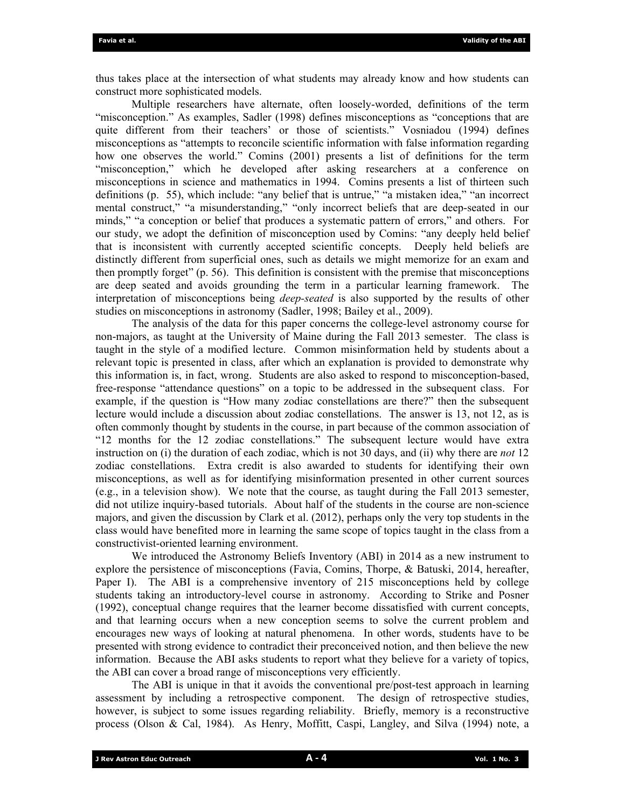thus takes place at the intersection of what students may already know and how students can construct more sophisticated models.

 Multiple researchers have alternate, often loosely-worded, definitions of the term "misconception." As examples, Sadler (1998) defines misconceptions as "conceptions that are quite different from their teachers' or those of scientists." Vosniadou (1994) defines misconceptions as "attempts to reconcile scientific information with false information regarding how one observes the world." Comins (2001) presents a list of definitions for the term "misconception," which he developed after asking researchers at a conference on misconceptions in science and mathematics in 1994. Comins presents a list of thirteen such definitions (p. 55), which include: "any belief that is untrue," "a mistaken idea," "an incorrect mental construct," "a misunderstanding," "only incorrect beliefs that are deep-seated in our minds," "a conception or belief that produces a systematic pattern of errors," and others. For our study, we adopt the definition of misconception used by Comins: "any deeply held belief that is inconsistent with currently accepted scientific concepts. Deeply held beliefs are distinctly different from superficial ones, such as details we might memorize for an exam and then promptly forget" (p. 56). This definition is consistent with the premise that misconceptions are deep seated and avoids grounding the term in a particular learning framework. The interpretation of misconceptions being *deep-seated* is also supported by the results of other studies on misconceptions in astronomy (Sadler, 1998; Bailey et al., 2009).

 The analysis of the data for this paper concerns the college-level astronomy course for non-majors, as taught at the University of Maine during the Fall 2013 semester. The class is taught in the style of a modified lecture. Common misinformation held by students about a relevant topic is presented in class, after which an explanation is provided to demonstrate why this information is, in fact, wrong. Students are also asked to respond to misconception-based, free-response "attendance questions" on a topic to be addressed in the subsequent class. For example, if the question is "How many zodiac constellations are there?" then the subsequent lecture would include a discussion about zodiac constellations. The answer is 13, not 12, as is often commonly thought by students in the course, in part because of the common association of "12 months for the 12 zodiac constellations." The subsequent lecture would have extra instruction on (i) the duration of each zodiac, which is not 30 days, and (ii) why there are *not* 12 zodiac constellations. Extra credit is also awarded to students for identifying their own misconceptions, as well as for identifying misinformation presented in other current sources (e.g., in a television show). We note that the course, as taught during the Fall 2013 semester, did not utilize inquiry-based tutorials. About half of the students in the course are non-science majors, and given the discussion by Clark et al. (2012), perhaps only the very top students in the class would have benefited more in learning the same scope of topics taught in the class from a constructivist-oriented learning environment.

 We introduced the Astronomy Beliefs Inventory (ABI) in 2014 as a new instrument to explore the persistence of misconceptions (Favia, Comins, Thorpe, & Batuski, 2014, hereafter, Paper I). The ABI is a comprehensive inventory of 215 misconceptions held by college students taking an introductory-level course in astronomy. According to Strike and Posner (1992), conceptual change requires that the learner become dissatisfied with current concepts, and that learning occurs when a new conception seems to solve the current problem and encourages new ways of looking at natural phenomena. In other words, students have to be presented with strong evidence to contradict their preconceived notion, and then believe the new information. Because the ABI asks students to report what they believe for a variety of topics, the ABI can cover a broad range of misconceptions very efficiently.

 The ABI is unique in that it avoids the conventional pre/post-test approach in learning assessment by including a retrospective component. The design of retrospective studies, however, is subject to some issues regarding reliability. Briefly, memory is a reconstructive process (Olson & Cal, 1984). As Henry, Moffitt, Caspi, Langley, and Silva (1994) note, a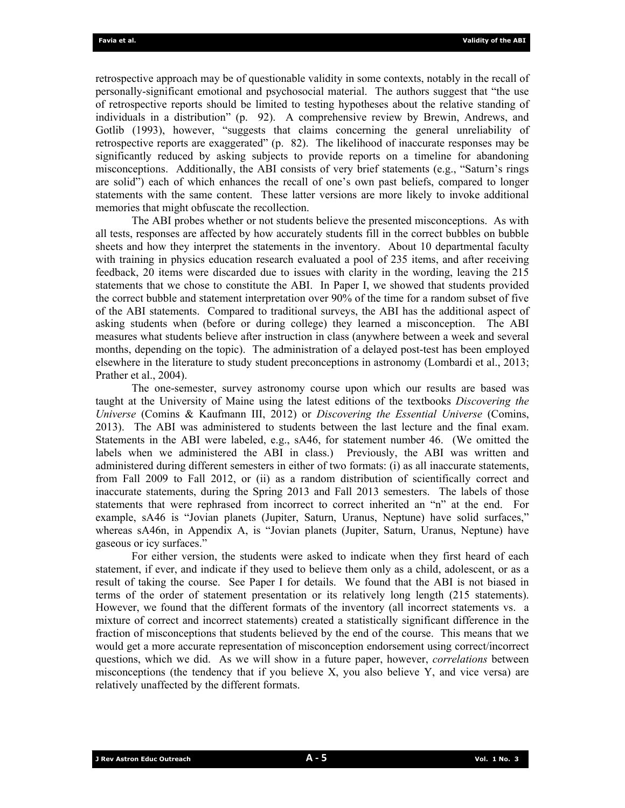retrospective approach may be of questionable validity in some contexts, notably in the recall of personally-significant emotional and psychosocial material. The authors suggest that "the use of retrospective reports should be limited to testing hypotheses about the relative standing of individuals in a distribution" (p. 92). A comprehensive review by Brewin, Andrews, and Gotlib (1993), however, "suggests that claims concerning the general unreliability of retrospective reports are exaggerated" (p. 82). The likelihood of inaccurate responses may be significantly reduced by asking subjects to provide reports on a timeline for abandoning misconceptions. Additionally, the ABI consists of very brief statements (e.g., "Saturn's rings are solid") each of which enhances the recall of one's own past beliefs, compared to longer statements with the same content. These latter versions are more likely to invoke additional memories that might obfuscate the recollection.

 The ABI probes whether or not students believe the presented misconceptions. As with all tests, responses are affected by how accurately students fill in the correct bubbles on bubble sheets and how they interpret the statements in the inventory. About 10 departmental faculty with training in physics education research evaluated a pool of 235 items, and after receiving feedback, 20 items were discarded due to issues with clarity in the wording, leaving the 215 statements that we chose to constitute the ABI. In Paper I, we showed that students provided the correct bubble and statement interpretation over 90% of the time for a random subset of five of the ABI statements. Compared to traditional surveys, the ABI has the additional aspect of asking students when (before or during college) they learned a misconception. The ABI measures what students believe after instruction in class (anywhere between a week and several months, depending on the topic). The administration of a delayed post-test has been employed elsewhere in the literature to study student preconceptions in astronomy (Lombardi et al., 2013; Prather et al., 2004).

 The one-semester, survey astronomy course upon which our results are based was taught at the University of Maine using the latest editions of the textbooks *Discovering the Universe* (Comins & Kaufmann III, 2012) or *Discovering the Essential Universe* (Comins, 2013). The ABI was administered to students between the last lecture and the final exam. Statements in the ABI were labeled, e.g., sA46, for statement number 46. (We omitted the labels when we administered the ABI in class.) Previously, the ABI was written and administered during different semesters in either of two formats: (i) as all inaccurate statements, from Fall 2009 to Fall 2012, or (ii) as a random distribution of scientifically correct and inaccurate statements, during the Spring 2013 and Fall 2013 semesters. The labels of those statements that were rephrased from incorrect to correct inherited an "n" at the end. For example, sA46 is "Jovian planets (Jupiter, Saturn, Uranus, Neptune) have solid surfaces," whereas sA46n, in Appendix A, is "Jovian planets (Jupiter, Saturn, Uranus, Neptune) have gaseous or icy surfaces."

 For either version, the students were asked to indicate when they first heard of each statement, if ever, and indicate if they used to believe them only as a child, adolescent, or as a result of taking the course. See Paper I for details. We found that the ABI is not biased in terms of the order of statement presentation or its relatively long length (215 statements). However, we found that the different formats of the inventory (all incorrect statements vs. a mixture of correct and incorrect statements) created a statistically significant difference in the fraction of misconceptions that students believed by the end of the course. This means that we would get a more accurate representation of misconception endorsement using correct/incorrect questions, which we did. As we will show in a future paper, however, *correlations* between misconceptions (the tendency that if you believe  $X$ , you also believe  $Y$ , and vice versa) are relatively unaffected by the different formats.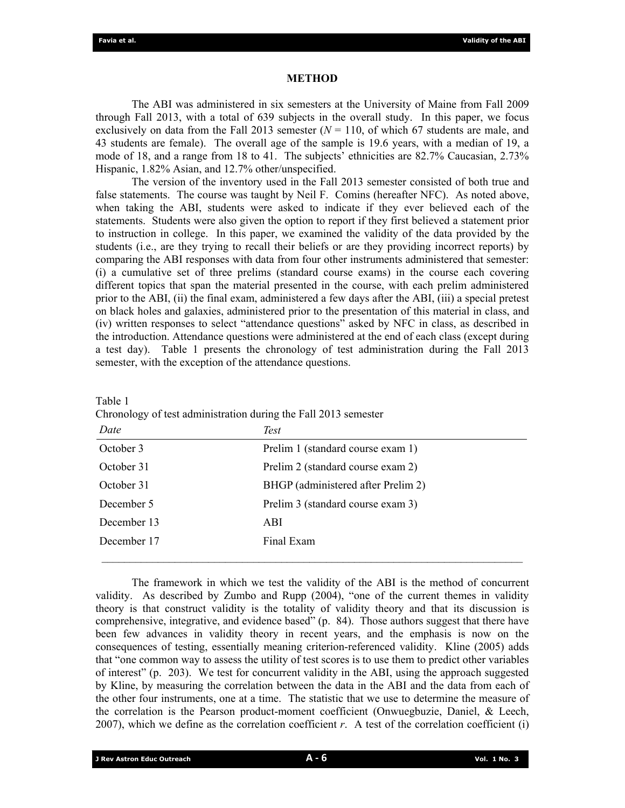### **METHOD**

 The ABI was administered in six semesters at the University of Maine from Fall 2009 through Fall 2013, with a total of 639 subjects in the overall study. In this paper, we focus exclusively on data from the Fall 2013 semester  $(N = 110)$ , of which 67 students are male, and 43 students are female). The overall age of the sample is 19.6 years, with a median of 19, a mode of 18, and a range from 18 to 41. The subjects' ethnicities are 82.7% Caucasian, 2.73% Hispanic, 1.82% Asian, and 12.7% other/unspecified.

 The version of the inventory used in the Fall 2013 semester consisted of both true and false statements. The course was taught by Neil F. Comins (hereafter NFC). As noted above, when taking the ABI, students were asked to indicate if they ever believed each of the statements. Students were also given the option to report if they first believed a statement prior to instruction in college. In this paper, we examined the validity of the data provided by the students (i.e., are they trying to recall their beliefs or are they providing incorrect reports) by comparing the ABI responses with data from four other instruments administered that semester: (i) a cumulative set of three prelims (standard course exams) in the course each covering different topics that span the material presented in the course, with each prelim administered prior to the ABI, (ii) the final exam, administered a few days after the ABI, (iii) a special pretest on black holes and galaxies, administered prior to the presentation of this material in class, and (iv) written responses to select "attendance questions" asked by NFC in class, as described in the introduction. Attendance questions were administered at the end of each class (except during a test day). Table 1 presents the chronology of test administration during the Fall 2013 semester, with the exception of the attendance questions.

| ۱<br>1<br>ш |  |
|-------------|--|
| aг          |  |

Chronology of test administration during the Fall 2013 semester

| Date        | <b>Test</b>                        |
|-------------|------------------------------------|
| October 3   | Prelim 1 (standard course exam 1)  |
| October 31  | Prelim 2 (standard course exam 2)  |
| October 31  | BHGP (administered after Prelim 2) |
| December 5  | Prelim 3 (standard course exam 3)  |
| December 13 | ABI                                |
| December 17 | Final Exam                         |
|             |                                    |

 The framework in which we test the validity of the ABI is the method of concurrent validity. As described by Zumbo and Rupp (2004), "one of the current themes in validity theory is that construct validity is the totality of validity theory and that its discussion is comprehensive, integrative, and evidence based" (p. 84). Those authors suggest that there have been few advances in validity theory in recent years, and the emphasis is now on the consequences of testing, essentially meaning criterion-referenced validity. Kline (2005) adds that "one common way to assess the utility of test scores is to use them to predict other variables of interest" (p. 203). We test for concurrent validity in the ABI, using the approach suggested by Kline, by measuring the correlation between the data in the ABI and the data from each of the other four instruments, one at a time. The statistic that we use to determine the measure of the correlation is the Pearson product-moment coefficient (Onwuegbuzie, Daniel, & Leech, 2007), which we define as the correlation coefficient *r*. A test of the correlation coefficient (i)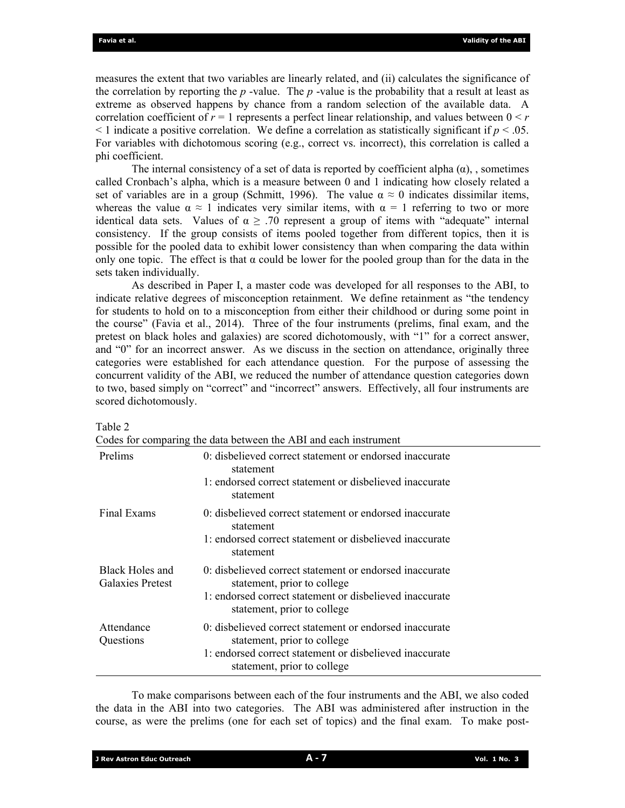measures the extent that two variables are linearly related, and (ii) calculates the significance of the correlation by reporting the  $p$ -value. The  $p$ -value is the probability that a result at least as extreme as observed happens by chance from a random selection of the available data. A correlation coefficient of  $r = 1$  represents a perfect linear relationship, and values between  $0 \leq r$  $\leq$  1 indicate a positive correlation. We define a correlation as statistically significant if  $p \leq .05$ . For variables with dichotomous scoring (e.g., correct vs. incorrect), this correlation is called a phi coefficient.

The internal consistency of a set of data is reported by coefficient alpha  $(\alpha)$ , , sometimes called Cronbach's alpha, which is a measure between 0 and 1 indicating how closely related a set of variables are in a group (Schmitt, 1996). The value  $\alpha \approx 0$  indicates dissimilar items, whereas the value  $\alpha \approx 1$  indicates very similar items, with  $\alpha = 1$  referring to two or more identical data sets. Values of  $\alpha \geq 0.70$  represent a group of items with "adequate" internal consistency. If the group consists of items pooled together from different topics, then it is possible for the pooled data to exhibit lower consistency than when comparing the data within only one topic. The effect is that  $\alpha$  could be lower for the pooled group than for the data in the sets taken individually.

 As described in Paper I, a master code was developed for all responses to the ABI, to indicate relative degrees of misconception retainment. We define retainment as "the tendency for students to hold on to a misconception from either their childhood or during some point in the course" (Favia et al., 2014). Three of the four instruments (prelims, final exam, and the pretest on black holes and galaxies) are scored dichotomously, with "1" for a correct answer, and "0" for an incorrect answer. As we discuss in the section on attendance, originally three categories were established for each attendance question. For the purpose of assessing the concurrent validity of the ABI, we reduced the number of attendance question categories down to two, based simply on "correct" and "incorrect" answers. Effectively, all four instruments are scored dichotomously.

|                                            | Codes for comparing the data between the ABI and each instrument                                                                                                                 |
|--------------------------------------------|----------------------------------------------------------------------------------------------------------------------------------------------------------------------------------|
| Prelims                                    | 0: disbelieved correct statement or endorsed inaccurate<br>statement<br>1: endorsed correct statement or disbelieved inaccurate<br>statement                                     |
| Final Exams                                | 0: disbelieved correct statement or endorsed inaccurate<br>statement<br>1: endorsed correct statement or disbelieved inaccurate<br>statement                                     |
| Black Holes and<br><b>Galaxies Pretest</b> | 0: disbelieved correct statement or endorsed inaccurate<br>statement, prior to college<br>1: endorsed correct statement or disbelieved inaccurate<br>statement, prior to college |
| Attendance<br>Questions                    | 0: disbelieved correct statement or endorsed inaccurate<br>statement, prior to college<br>1: endorsed correct statement or disbelieved inaccurate<br>statement, prior to college |

Table 2

 $\overline{C}$  contract for comparing the  $\overline{C}$ 

 To make comparisons between each of the four instruments and the ABI, we also coded the data in the ABI into two categories. The ABI was administered after instruction in the course, as were the prelims (one for each set of topics) and the final exam. To make post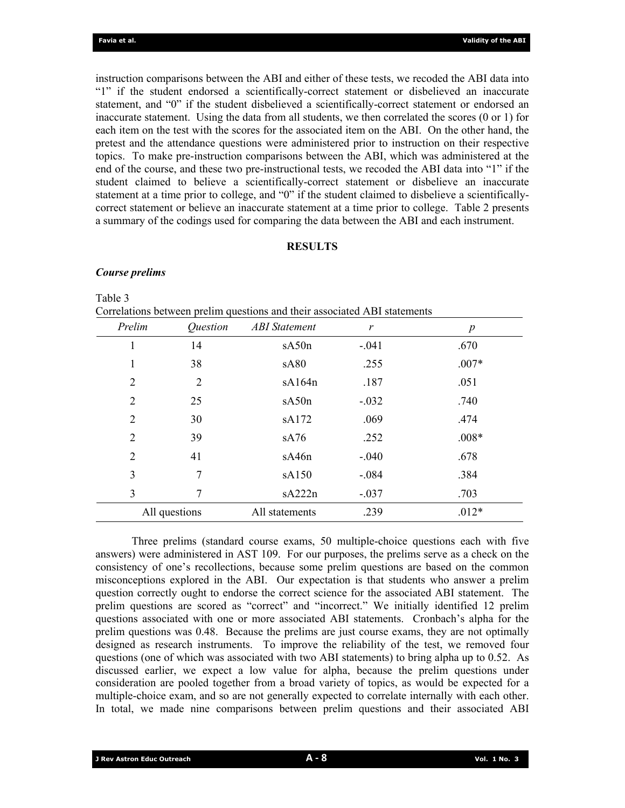instruction comparisons between the ABI and either of these tests, we recoded the ABI data into "1" if the student endorsed a scientifically-correct statement or disbelieved an inaccurate statement, and "0" if the student disbelieved a scientifically-correct statement or endorsed an inaccurate statement. Using the data from all students, we then correlated the scores (0 or 1) for each item on the test with the scores for the associated item on the ABI. On the other hand, the pretest and the attendance questions were administered prior to instruction on their respective topics. To make pre-instruction comparisons between the ABI, which was administered at the end of the course, and these two pre-instructional tests, we recoded the ABI data into "1" if the student claimed to believe a scientifically-correct statement or disbelieve an inaccurate statement at a time prior to college, and "0" if the student claimed to disbelieve a scientificallycorrect statement or believe an inaccurate statement at a time prior to college. Table 2 presents a summary of the codings used for comparing the data between the ABI and each instrument.

# **RESULTS**

### *Course prelims*

Table 3

| Prelim | <i><u><b>Ouestion</b></u></i> | <b>ABI</b> Statement | r       | $\boldsymbol{p}$ |
|--------|-------------------------------|----------------------|---------|------------------|
| 1      | 14                            | sA50n                | $-.041$ | .670             |
| 1      | 38                            | sA80                 | .255    | $.007*$          |
| 2      | 2                             | sA164n               | .187    | .051             |
| 2      | 25                            | sA50n                | $-.032$ | .740             |
| 2      | 30                            | sA172                | .069    | .474             |
| 2      | 39                            | sA76                 | .252    | $.008*$          |
| 2      | 41                            | sA46n                | $-.040$ | .678             |
| 3      | 7                             | sA150                | $-.084$ | .384             |
| 3      | 7                             | sA222n               | $-.037$ | .703             |
|        | All questions                 | All statements       | .239    | $.012*$          |

 Three prelims (standard course exams, 50 multiple-choice questions each with five answers) were administered in AST 109. For our purposes, the prelims serve as a check on the consistency of one's recollections, because some prelim questions are based on the common misconceptions explored in the ABI. Our expectation is that students who answer a prelim question correctly ought to endorse the correct science for the associated ABI statement. The prelim questions are scored as "correct" and "incorrect." We initially identified 12 prelim questions associated with one or more associated ABI statements. Cronbach's alpha for the prelim questions was 0.48. Because the prelims are just course exams, they are not optimally designed as research instruments. To improve the reliability of the test, we removed four questions (one of which was associated with two ABI statements) to bring alpha up to 0.52. As discussed earlier, we expect a low value for alpha, because the prelim questions under consideration are pooled together from a broad variety of topics, as would be expected for a multiple-choice exam, and so are not generally expected to correlate internally with each other. In total, we made nine comparisons between prelim questions and their associated ABI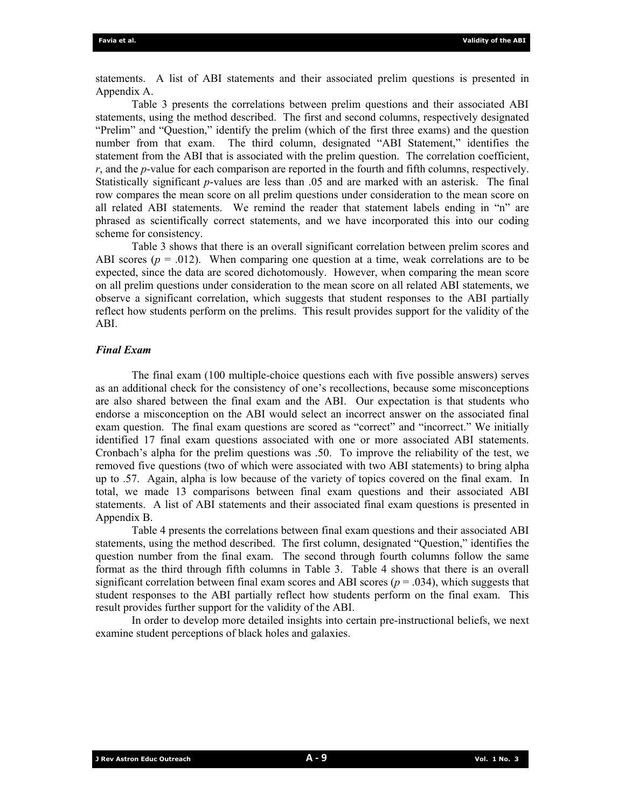statements. A list of ABI statements and their associated prelim questions is presented in Appendix A.

 Table 3 presents the correlations between prelim questions and their associated ABI statements, using the method described. The first and second columns, respectively designated "Prelim" and "Question," identify the prelim (which of the first three exams) and the question number from that exam. The third column, designated "ABI Statement," identifies the statement from the ABI that is associated with the prelim question. The correlation coefficient, *r*, and the *p*-value for each comparison are reported in the fourth and fifth columns, respectively. Statistically significant *p*-values are less than .05 and are marked with an asterisk. The final row compares the mean score on all prelim questions under consideration to the mean score on all related ABI statements. We remind the reader that statement labels ending in "n" are phrased as scientifically correct statements, and we have incorporated this into our coding scheme for consistency.

 Table 3 shows that there is an overall significant correlation between prelim scores and ABI scores  $(p = .012)$ . When comparing one question at a time, weak correlations are to be expected, since the data are scored dichotomously. However, when comparing the mean score on all prelim questions under consideration to the mean score on all related ABI statements, we observe a significant correlation, which suggests that student responses to the ABI partially reflect how students perform on the prelims. This result provides support for the validity of the ABI.

## *Final Exam*

 The final exam (100 multiple-choice questions each with five possible answers) serves as an additional check for the consistency of one's recollections, because some misconceptions are also shared between the final exam and the ABI. Our expectation is that students who endorse a misconception on the ABI would select an incorrect answer on the associated final exam question. The final exam questions are scored as "correct" and "incorrect." We initially identified 17 final exam questions associated with one or more associated ABI statements. Cronbach's alpha for the prelim questions was .50. To improve the reliability of the test, we removed five questions (two of which were associated with two ABI statements) to bring alpha up to .57. Again, alpha is low because of the variety of topics covered on the final exam. In total, we made 13 comparisons between final exam questions and their associated ABI statements. A list of ABI statements and their associated final exam questions is presented in Appendix B.

 Table 4 presents the correlations between final exam questions and their associated ABI statements, using the method described. The first column, designated "Question," identifies the question number from the final exam. The second through fourth columns follow the same format as the third through fifth columns in Table 3. Table 4 shows that there is an overall significant correlation between final exam scores and ABI scores ( $p = .034$ ), which suggests that student responses to the ABI partially reflect how students perform on the final exam. This result provides further support for the validity of the ABI.

In order to develop more detailed insights into certain pre-instructional beliefs, we next examine student perceptions of black holes and galaxies.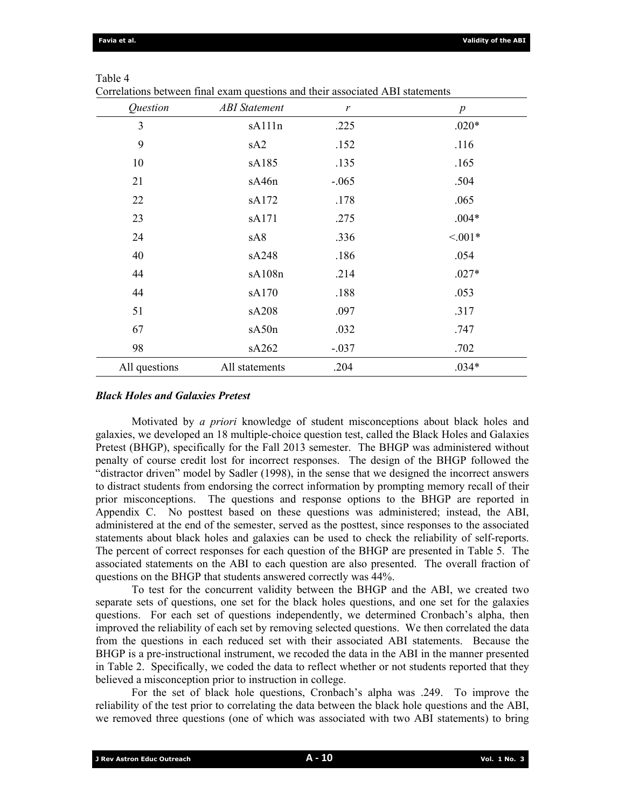| Question      | <b>ABI</b> Statement | r       | $\boldsymbol{p}$ |
|---------------|----------------------|---------|------------------|
| 3             | sA111n               | .225    | $.020*$          |
| 9             | sA2                  | .152    | .116             |
| 10            | sA185                | .135    | .165             |
| 21            | sA46n                | $-.065$ | .504             |
| 22            | sA172                | .178    | .065             |
| 23            | sA171                | .275    | $.004*$          |
| 24            | sA8                  | .336    | $< 0.01*$        |
| 40            | sA248                | .186    | .054             |
| 44            | sA108n               | .214    | $.027*$          |
| 44            | sA170                | .188    | .053             |
| 51            | sA208                | .097    | .317             |
| 67            | sA50n                | .032    | .747             |
| 98            | sA262                | $-.037$ | .702             |
| All questions | All statements       | .204    | $.034*$          |

#### Table 4

Correlations between final exam questions and their associated ABI statements

#### *Black Holes and Galaxies Pretest*

 Motivated by *a priori* knowledge of student misconceptions about black holes and galaxies, we developed an 18 multiple-choice question test, called the Black Holes and Galaxies Pretest (BHGP), specifically for the Fall 2013 semester. The BHGP was administered without penalty of course credit lost for incorrect responses. The design of the BHGP followed the "distractor driven" model by Sadler (1998), in the sense that we designed the incorrect answers to distract students from endorsing the correct information by prompting memory recall of their prior misconceptions. The questions and response options to the BHGP are reported in Appendix C. No posttest based on these questions was administered; instead, the ABI, administered at the end of the semester, served as the posttest, since responses to the associated statements about black holes and galaxies can be used to check the reliability of self-reports. The percent of correct responses for each question of the BHGP are presented in Table 5. The associated statements on the ABI to each question are also presented. The overall fraction of questions on the BHGP that students answered correctly was 44%.

 To test for the concurrent validity between the BHGP and the ABI, we created two separate sets of questions, one set for the black holes questions, and one set for the galaxies questions. For each set of questions independently, we determined Cronbach's alpha, then improved the reliability of each set by removing selected questions. We then correlated the data from the questions in each reduced set with their associated ABI statements. Because the BHGP is a pre-instructional instrument, we recoded the data in the ABI in the manner presented in Table 2. Specifically, we coded the data to reflect whether or not students reported that they believed a misconception prior to instruction in college.

 For the set of black hole questions, Cronbach's alpha was .249. To improve the reliability of the test prior to correlating the data between the black hole questions and the ABI, we removed three questions (one of which was associated with two ABI statements) to bring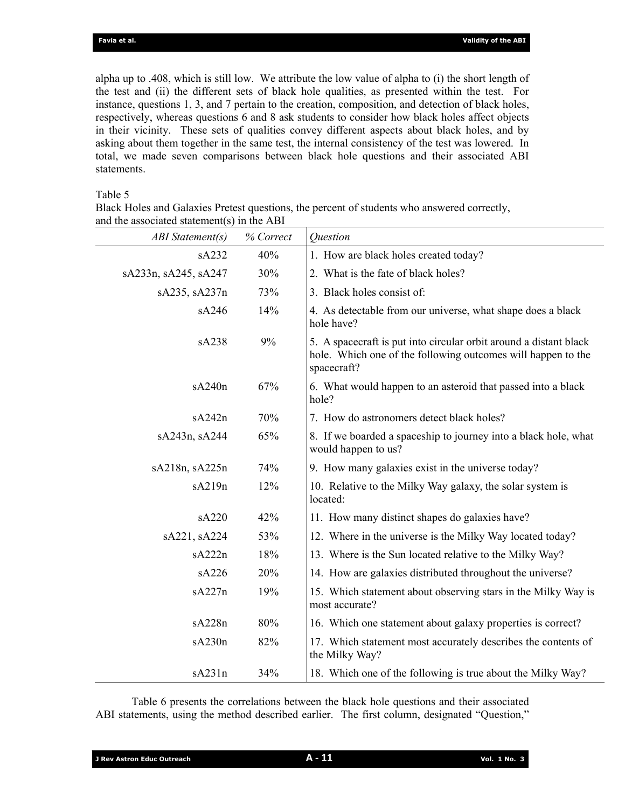alpha up to .408, which is still low. We attribute the low value of alpha to (i) the short length of the test and (ii) the different sets of black hole qualities, as presented within the test. For instance, questions 1, 3, and 7 pertain to the creation, composition, and detection of black holes, respectively, whereas questions 6 and 8 ask students to consider how black holes affect objects in their vicinity. These sets of qualities convey different aspects about black holes, and by asking about them together in the same test, the internal consistency of the test was lowered. In total, we made seven comparisons between black hole questions and their associated ABI statements.

## Table 5

Black Holes and Galaxies Pretest questions, the percent of students who answered correctly, and the associated statement(s) in the ABI

| <b>ABI</b> Statement(s) | % Correct | <b>Ouestion</b>                                                                                                                                  |
|-------------------------|-----------|--------------------------------------------------------------------------------------------------------------------------------------------------|
| sA232                   | 40%       | 1. How are black holes created today?                                                                                                            |
| sA233n, sA245, sA247    | 30%       | 2. What is the fate of black holes?                                                                                                              |
| sA235, sA237n           | 73%       | 3. Black holes consist of:                                                                                                                       |
| sA246                   | 14%       | 4. As detectable from our universe, what shape does a black<br>hole have?                                                                        |
| sA238                   | 9%        | 5. A spacecraft is put into circular orbit around a distant black<br>hole. Which one of the following outcomes will happen to the<br>spacecraft? |
| sA240n                  | 67%       | 6. What would happen to an asteroid that passed into a black<br>hole?                                                                            |
| sA242n                  | 70%       | 7. How do astronomers detect black holes?                                                                                                        |
| sA243n, sA244           | 65%       | 8. If we boarded a spaceship to journey into a black hole, what<br>would happen to us?                                                           |
| sA218n, sA225n          | 74%       | 9. How many galaxies exist in the universe today?                                                                                                |
| sA219n                  | 12%       | 10. Relative to the Milky Way galaxy, the solar system is<br>located:                                                                            |
| sA220                   | 42%       | 11. How many distinct shapes do galaxies have?                                                                                                   |
| sA221, sA224            | 53%       | 12. Where in the universe is the Milky Way located today?                                                                                        |
| sA222n                  | 18%       | 13. Where is the Sun located relative to the Milky Way?                                                                                          |
| sA226                   | 20%       | 14. How are galaxies distributed throughout the universe?                                                                                        |
| sA227n                  | 19%       | 15. Which statement about observing stars in the Milky Way is<br>most accurate?                                                                  |
| sA228n                  | 80%       | 16. Which one statement about galaxy properties is correct?                                                                                      |
| sA230n                  | 82%       | 17. Which statement most accurately describes the contents of<br>the Milky Way?                                                                  |
| sA231n                  | 34%       | 18. Which one of the following is true about the Milky Way?                                                                                      |

Table 6 presents the correlations between the black hole questions and their associated ABI statements, using the method described earlier. The first column, designated "Question,"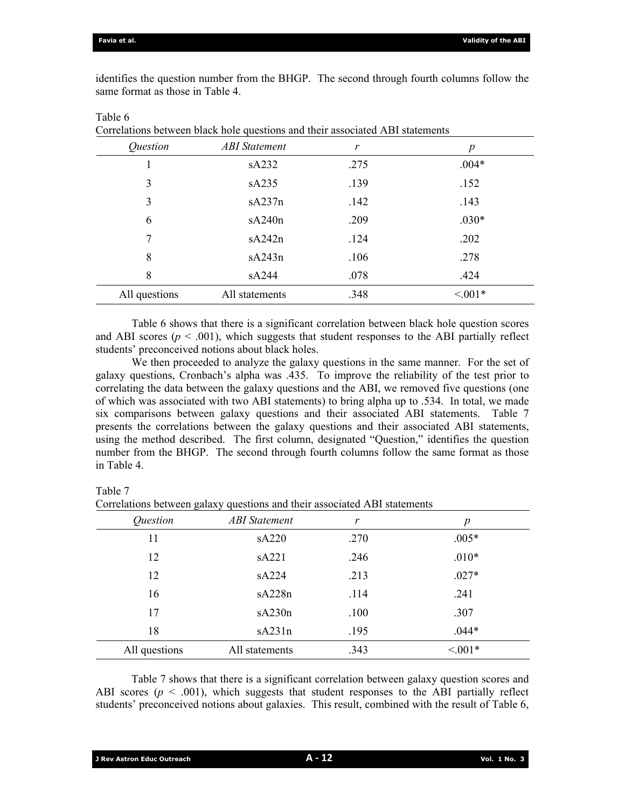identifies the question number from the BHGP. The second through fourth columns follow the same format as those in Table 4.

| Question      | <b>ABI</b> Statement | r    | p         |
|---------------|----------------------|------|-----------|
|               | sA232                | .275 | $.004*$   |
| 3             | sA235                | .139 | .152      |
| 3             | sA237n               | .142 | .143      |
| 6             | sA240n               | .209 | $.030*$   |
| 7             | sA242n               | .124 | .202      |
| 8             | sA243n               | .106 | .278      |
| 8             | sA244                | .078 | .424      |
| All questions | All statements       | .348 | $< 0.01*$ |

Table 6

Correlations between black hole questions and their associated ABI statements

 Table 6 shows that there is a significant correlation between black hole question scores and ABI scores  $(p < .001)$ , which suggests that student responses to the ABI partially reflect students' preconceived notions about black holes.

 We then proceeded to analyze the galaxy questions in the same manner. For the set of galaxy questions, Cronbach's alpha was .435. To improve the reliability of the test prior to correlating the data between the galaxy questions and the ABI, we removed five questions (one of which was associated with two ABI statements) to bring alpha up to .534. In total, we made six comparisons between galaxy questions and their associated ABI statements. Table 7 presents the correlations between the galaxy questions and their associated ABI statements, using the method described. The first column, designated "Question," identifies the question number from the BHGP. The second through fourth columns follow the same format as those in Table 4.

Table 7

Correlations between galaxy questions and their associated ABI statements

| <i><u>Ouestion</u></i> | <b>ABI</b> Statement | r    | p         |
|------------------------|----------------------|------|-----------|
| 11                     | sA220                | .270 | $.005*$   |
| 12                     | sA221                | .246 | $.010*$   |
| 12                     | sA224                | .213 | $.027*$   |
| 16                     | sA228n               | .114 | .241      |
| 17                     | sA230n               | .100 | .307      |
| 18                     | sA231n               | .195 | $.044*$   |
| All questions          | All statements       | .343 | $< 0.01*$ |
|                        |                      |      |           |

Table 7 shows that there is a significant correlation between galaxy question scores and ABI scores ( $p \le 0.001$ ), which suggests that student responses to the ABI partially reflect students' preconceived notions about galaxies. This result, combined with the result of Table 6,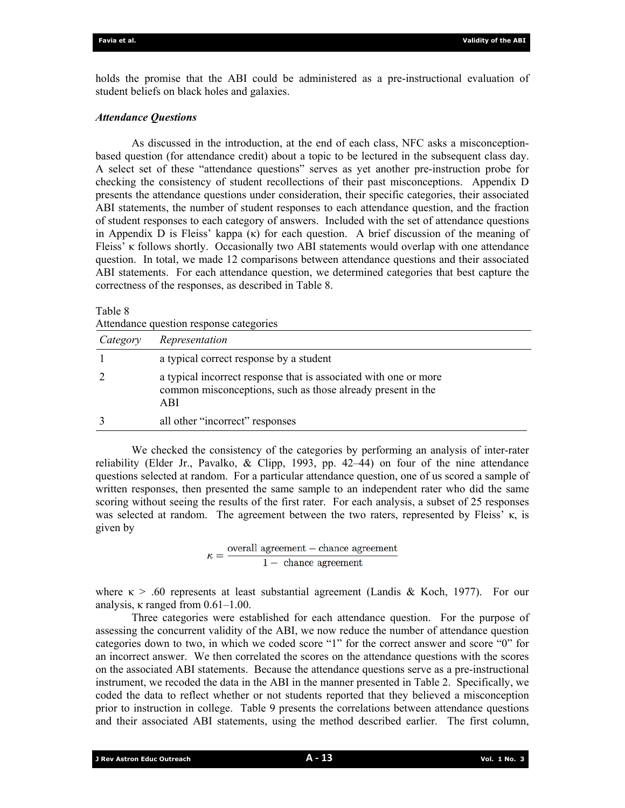holds the promise that the ABI could be administered as a pre-instructional evaluation of student beliefs on black holes and galaxies.

## *Attendance Questions*

 As discussed in the introduction, at the end of each class, NFC asks a misconceptionbased question (for attendance credit) about a topic to be lectured in the subsequent class day. A select set of these "attendance questions" serves as yet another pre-instruction probe for checking the consistency of student recollections of their past misconceptions. Appendix D presents the attendance questions under consideration, their specific categories, their associated ABI statements, the number of student responses to each attendance question, and the fraction of student responses to each category of answers. Included with the set of attendance questions in Appendix D is Fleiss' kappa  $(\kappa)$  for each question. A brief discussion of the meaning of Fleiss' κ follows shortly. Occasionally two ABI statements would overlap with one attendance question. In total, we made 12 comparisons between attendance questions and their associated ABI statements. For each attendance question, we determined categories that best capture the correctness of the responses, as described in Table 8.

#### Table 8

|          | Attendance question response categories                                                                                                |  |  |  |  |
|----------|----------------------------------------------------------------------------------------------------------------------------------------|--|--|--|--|
| Category | Representation                                                                                                                         |  |  |  |  |
|          | a typical correct response by a student                                                                                                |  |  |  |  |
|          | a typical incorrect response that is associated with one or more<br>common misconceptions, such as those already present in the<br>ABI |  |  |  |  |
|          | all other "incorrect" responses                                                                                                        |  |  |  |  |

 We checked the consistency of the categories by performing an analysis of inter-rater reliability (Elder Jr., Pavalko, & Clipp, 1993, pp. 42–44) on four of the nine attendance questions selected at random. For a particular attendance question, one of us scored a sample of written responses, then presented the same sample to an independent rater who did the same scoring without seeing the results of the first rater. For each analysis, a subset of 25 responses was selected at random. The agreement between the two raters, represented by Fleiss' κ, is given by

 $\kappa = \frac{\text{overall agreement} - \text{chance agreement}}{1 - \text{ chance agreement}}$ 

where  $\kappa > 0.60$  represents at least substantial agreement (Landis & Koch, 1977). For our analysis, κ ranged from 0.61–1.00.

 Three categories were established for each attendance question. For the purpose of assessing the concurrent validity of the ABI, we now reduce the number of attendance question categories down to two, in which we coded score "1" for the correct answer and score "0" for an incorrect answer. We then correlated the scores on the attendance questions with the scores on the associated ABI statements. Because the attendance questions serve as a pre-instructional instrument, we recoded the data in the ABI in the manner presented in Table 2. Specifically, we coded the data to reflect whether or not students reported that they believed a misconception prior to instruction in college. Table 9 presents the correlations between attendance questions and their associated ABI statements, using the method described earlier. The first column,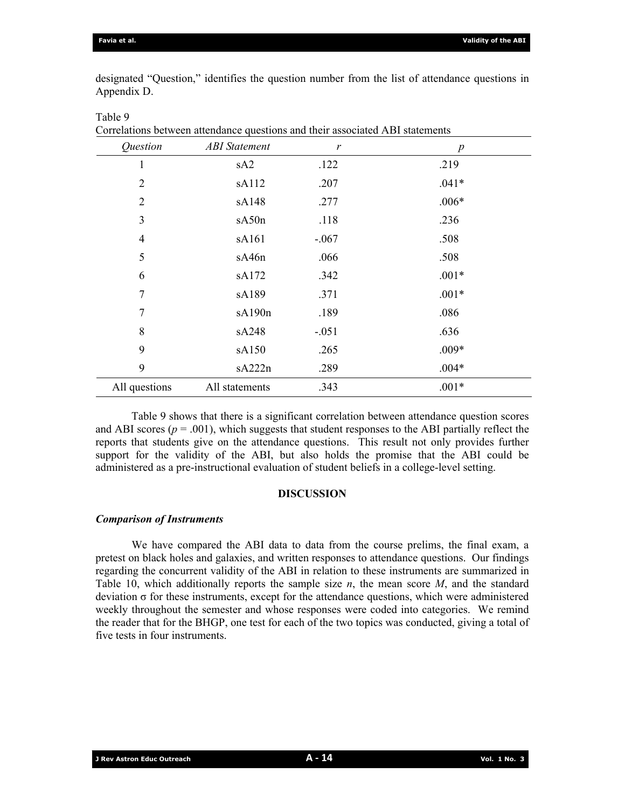designated "Question," identifies the question number from the list of attendance questions in Appendix D.

| Question       | <b>ABI</b> Statement | r       | $\boldsymbol{p}$ |
|----------------|----------------------|---------|------------------|
| 1              | sA <sub>2</sub>      | .122    | .219             |
| $\overline{2}$ | sA112                | .207    | $.041*$          |
| $\overline{2}$ | sA148                | .277    | $.006*$          |
| 3              | sA50n                | .118    | .236             |
| $\overline{4}$ | sA161                | $-.067$ | .508             |
| 5              | sA46n                | .066    | .508             |
| 6              | sA172                | .342    | $.001*$          |
| $\tau$         | sA189                | .371    | $.001*$          |
| 7              | sA190n               | .189    | .086             |
| 8              | sA248                | $-.051$ | .636             |
| 9              | sA150                | .265    | $.009*$          |
| 9              | sA222n               | .289    | $.004*$          |
| All questions  | All statements       | .343    | $.001*$          |

Table 9

Correlations between attendance questions and their associated ABI statements

Table 9 shows that there is a significant correlation between attendance question scores and ABI scores ( $p = .001$ ), which suggests that student responses to the ABI partially reflect the reports that students give on the attendance questions. This result not only provides further support for the validity of the ABI, but also holds the promise that the ABI could be administered as a pre-instructional evaluation of student beliefs in a college-level setting.

# **DISCUSSION**

#### *Comparison of Instruments*

 We have compared the ABI data to data from the course prelims, the final exam, a pretest on black holes and galaxies, and written responses to attendance questions. Our findings regarding the concurrent validity of the ABI in relation to these instruments are summarized in Table 10, which additionally reports the sample size *n*, the mean score *M*, and the standard deviation σ for these instruments, except for the attendance questions, which were administered weekly throughout the semester and whose responses were coded into categories. We remind the reader that for the BHGP, one test for each of the two topics was conducted, giving a total of five tests in four instruments.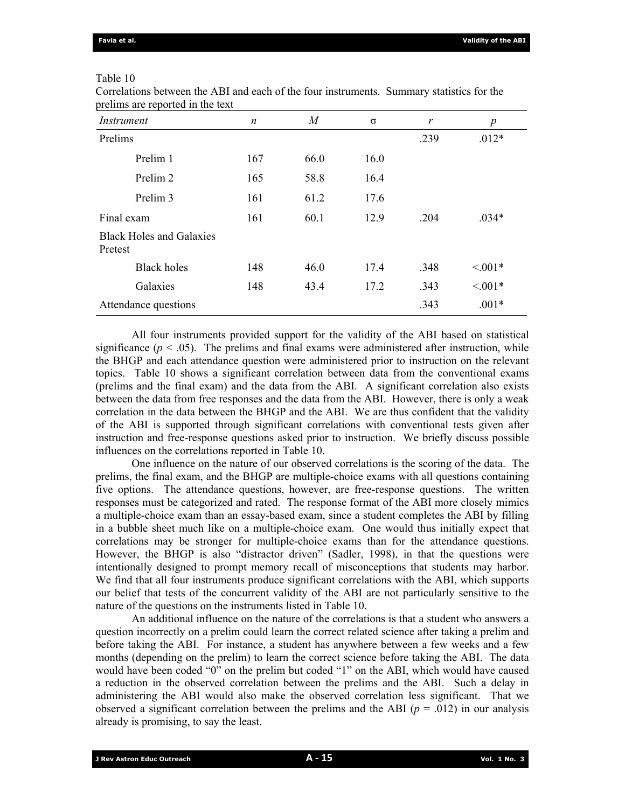## Table 10

| Instrument                                 | n   | $\overline{M}$ | $\sigma$ | $\mathcal{V}$ | p         |
|--------------------------------------------|-----|----------------|----------|---------------|-----------|
| Prelims                                    |     |                |          | .239          | $.012*$   |
| Prelim 1                                   | 167 | 66.0           | 16.0     |               |           |
| Prelim 2                                   | 165 | 58.8           | 16.4     |               |           |
| Prelim 3                                   | 161 | 61.2           | 17.6     |               |           |
| Final exam                                 | 161 | 60.1           | 12.9     | .204          | $.034*$   |
| <b>Black Holes and Galaxies</b><br>Pretest |     |                |          |               |           |
| <b>Black holes</b>                         | 148 | 46.0           | 17.4     | .348          | $< 0.01*$ |
| Galaxies                                   | 148 | 43.4           | 17.2     | .343          | $< 0.01*$ |
| Attendance questions                       |     |                |          | .343          | $.001*$   |

Correlations between the ABI and each of the four instruments. Summary statistics for the prelims are reported in the text

 All four instruments provided support for the validity of the ABI based on statistical significance  $(p < .05)$ . The prelims and final exams were administered after instruction, while the BHGP and each attendance question were administered prior to instruction on the relevant topics. Table 10 shows a significant correlation between data from the conventional exams (prelims and the final exam) and the data from the ABI. A significant correlation also exists between the data from free responses and the data from the ABI. However, there is only a weak correlation in the data between the BHGP and the ABI. We are thus confident that the validity of the ABI is supported through significant correlations with conventional tests given after instruction and free-response questions asked prior to instruction. We briefly discuss possible influences on the correlations reported in Table 10.

 One influence on the nature of our observed correlations is the scoring of the data. The prelims, the final exam, and the BHGP are multiple-choice exams with all questions containing five options. The attendance questions, however, are free-response questions. The written responses must be categorized and rated. The response format of the ABI more closely mimics a multiple-choice exam than an essay-based exam, since a student completes the ABI by filling in a bubble sheet much like on a multiple-choice exam. One would thus initially expect that correlations may be stronger for multiple-choice exams than for the attendance questions. However, the BHGP is also "distractor driven" (Sadler, 1998), in that the questions were intentionally designed to prompt memory recall of misconceptions that students may harbor. We find that all four instruments produce significant correlations with the ABI, which supports our belief that tests of the concurrent validity of the ABI are not particularly sensitive to the nature of the questions on the instruments listed in Table 10.

 An additional influence on the nature of the correlations is that a student who answers a question incorrectly on a prelim could learn the correct related science after taking a prelim and before taking the ABI. For instance, a student has anywhere between a few weeks and a few months (depending on the prelim) to learn the correct science before taking the ABI. The data would have been coded "0" on the prelim but coded "1" on the ABI, which would have caused a reduction in the observed correlation between the prelims and the ABI. Such a delay in administering the ABI would also make the observed correlation less significant. That we observed a significant correlation between the prelims and the ABI ( $p = .012$ ) in our analysis already is promising, to say the least.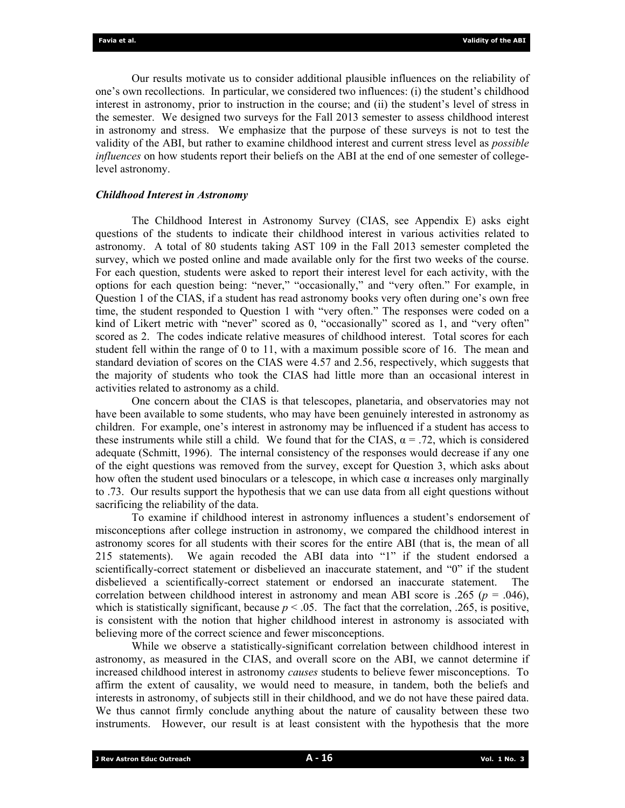Our results motivate us to consider additional plausible influences on the reliability of one's own recollections. In particular, we considered two influences: (i) the student's childhood interest in astronomy, prior to instruction in the course; and (ii) the student's level of stress in the semester. We designed two surveys for the Fall 2013 semester to assess childhood interest in astronomy and stress. We emphasize that the purpose of these surveys is not to test the validity of the ABI, but rather to examine childhood interest and current stress level as *possible influences* on how students report their beliefs on the ABI at the end of one semester of collegelevel astronomy.

#### *Childhood Interest in Astronomy*

 The Childhood Interest in Astronomy Survey (CIAS, see Appendix E) asks eight questions of the students to indicate their childhood interest in various activities related to astronomy. A total of 80 students taking AST 109 in the Fall 2013 semester completed the survey, which we posted online and made available only for the first two weeks of the course. For each question, students were asked to report their interest level for each activity, with the options for each question being: "never," "occasionally," and "very often." For example, in Question 1 of the CIAS, if a student has read astronomy books very often during one's own free time, the student responded to Question 1 with "very often." The responses were coded on a kind of Likert metric with "never" scored as 0, "occasionally" scored as 1, and "very often" scored as 2. The codes indicate relative measures of childhood interest. Total scores for each student fell within the range of 0 to 11, with a maximum possible score of 16. The mean and standard deviation of scores on the CIAS were 4.57 and 2.56, respectively, which suggests that the majority of students who took the CIAS had little more than an occasional interest in activities related to astronomy as a child.

 One concern about the CIAS is that telescopes, planetaria, and observatories may not have been available to some students, who may have been genuinely interested in astronomy as children. For example, one's interest in astronomy may be influenced if a student has access to these instruments while still a child. We found that for the CIAS,  $\alpha = .72$ , which is considered adequate (Schmitt, 1996). The internal consistency of the responses would decrease if any one of the eight questions was removed from the survey, except for Question 3, which asks about how often the student used binoculars or a telescope, in which case  $\alpha$  increases only marginally to .73. Our results support the hypothesis that we can use data from all eight questions without sacrificing the reliability of the data.

 To examine if childhood interest in astronomy influences a student's endorsement of misconceptions after college instruction in astronomy, we compared the childhood interest in astronomy scores for all students with their scores for the entire ABI (that is, the mean of all 215 statements). We again recoded the ABI data into "1" if the student endorsed a scientifically-correct statement or disbelieved an inaccurate statement, and "0" if the student disbelieved a scientifically-correct statement or endorsed an inaccurate statement. The correlation between childhood interest in astronomy and mean ABI score is .265 ( $p = .046$ ), which is statistically significant, because  $p < .05$ . The fact that the correlation, .265, is positive, is consistent with the notion that higher childhood interest in astronomy is associated with believing more of the correct science and fewer misconceptions.

 While we observe a statistically-significant correlation between childhood interest in astronomy, as measured in the CIAS, and overall score on the ABI, we cannot determine if increased childhood interest in astronomy *causes* students to believe fewer misconceptions. To affirm the extent of causality, we would need to measure, in tandem, both the beliefs and interests in astronomy, of subjects still in their childhood, and we do not have these paired data. We thus cannot firmly conclude anything about the nature of causality between these two instruments. However, our result is at least consistent with the hypothesis that the more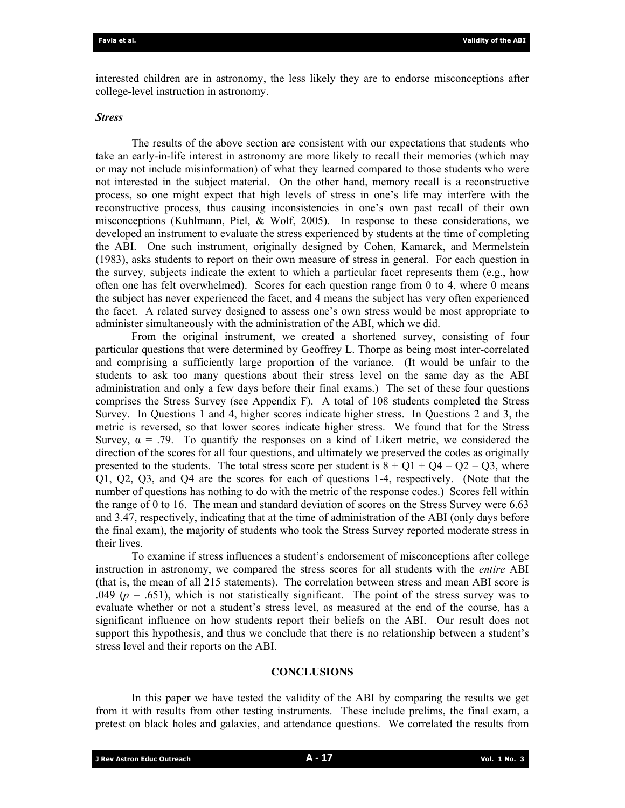interested children are in astronomy, the less likely they are to endorse misconceptions after college-level instruction in astronomy.

### *Stress*

 The results of the above section are consistent with our expectations that students who take an early-in-life interest in astronomy are more likely to recall their memories (which may or may not include misinformation) of what they learned compared to those students who were not interested in the subject material. On the other hand, memory recall is a reconstructive process, so one might expect that high levels of stress in one's life may interfere with the reconstructive process, thus causing inconsistencies in one's own past recall of their own misconceptions (Kuhlmann, Piel, & Wolf, 2005). In response to these considerations, we developed an instrument to evaluate the stress experienced by students at the time of completing the ABI. One such instrument, originally designed by Cohen, Kamarck, and Mermelstein (1983), asks students to report on their own measure of stress in general. For each question in the survey, subjects indicate the extent to which a particular facet represents them (e.g., how often one has felt overwhelmed). Scores for each question range from 0 to 4, where 0 means the subject has never experienced the facet, and 4 means the subject has very often experienced the facet. A related survey designed to assess one's own stress would be most appropriate to administer simultaneously with the administration of the ABI, which we did.

 From the original instrument, we created a shortened survey, consisting of four particular questions that were determined by Geoffrey L. Thorpe as being most inter-correlated and comprising a sufficiently large proportion of the variance. (It would be unfair to the students to ask too many questions about their stress level on the same day as the ABI administration and only a few days before their final exams.) The set of these four questions comprises the Stress Survey (see Appendix F). A total of 108 students completed the Stress Survey. In Questions 1 and 4, higher scores indicate higher stress. In Questions 2 and 3, the metric is reversed, so that lower scores indicate higher stress. We found that for the Stress Survey,  $\alpha$  = .79. To quantify the responses on a kind of Likert metric, we considered the direction of the scores for all four questions, and ultimately we preserved the codes as originally presented to the students. The total stress score per student is  $8 + Q1 + Q4 - Q2 - Q3$ , where Q1, Q2, Q3, and Q4 are the scores for each of questions 1-4, respectively. (Note that the number of questions has nothing to do with the metric of the response codes.) Scores fell within the range of 0 to 16. The mean and standard deviation of scores on the Stress Survey were 6.63 and 3.47, respectively, indicating that at the time of administration of the ABI (only days before the final exam), the majority of students who took the Stress Survey reported moderate stress in their lives.

 To examine if stress influences a student's endorsement of misconceptions after college instruction in astronomy, we compared the stress scores for all students with the *entire* ABI (that is, the mean of all 215 statements). The correlation between stress and mean ABI score is .049 ( $p = .651$ ), which is not statistically significant. The point of the stress survey was to evaluate whether or not a student's stress level, as measured at the end of the course, has a significant influence on how students report their beliefs on the ABI. Our result does not support this hypothesis, and thus we conclude that there is no relationship between a student's stress level and their reports on the ABI.

### **CONCLUSIONS**

 In this paper we have tested the validity of the ABI by comparing the results we get from it with results from other testing instruments. These include prelims, the final exam, a pretest on black holes and galaxies, and attendance questions. We correlated the results from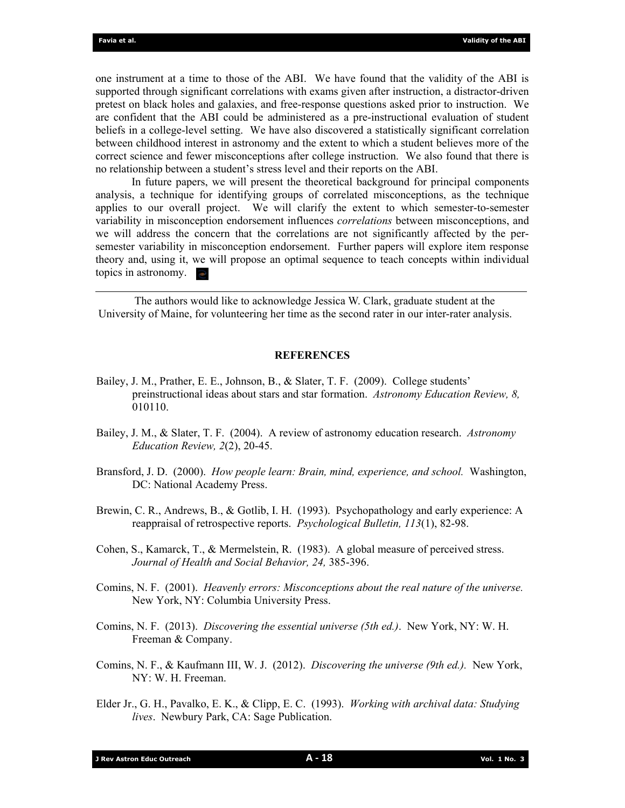one instrument at a time to those of the ABI. We have found that the validity of the ABI is supported through significant correlations with exams given after instruction, a distractor-driven pretest on black holes and galaxies, and free-response questions asked prior to instruction. We are confident that the ABI could be administered as a pre-instructional evaluation of student beliefs in a college-level setting. We have also discovered a statistically significant correlation between childhood interest in astronomy and the extent to which a student believes more of the correct science and fewer misconceptions after college instruction. We also found that there is no relationship between a student's stress level and their reports on the ABI.

 In future papers, we will present the theoretical background for principal components analysis, a technique for identifying groups of correlated misconceptions, as the technique applies to our overall project. We will clarify the extent to which semester-to-semester variability in misconception endorsement influences *correlations* between misconceptions, and we will address the concern that the correlations are not significantly affected by the persemester variability in misconception endorsement. Further papers will explore item response theory and, using it, we will propose an optimal sequence to teach concepts within individual topics in astronomy.  $\approx$ 

 The authors would like to acknowledge Jessica W. Clark, graduate student at the University of Maine, for volunteering her time as the second rater in our inter-rater analysis.

#### **REFERENCES**

- Bailey, J. M., Prather, E. E., Johnson, B., & Slater, T. F. (2009). College students' preinstructional ideas about stars and star formation. *Astronomy Education Review, 8,* 010110.
- Bailey, J. M., & Slater, T. F. (2004). A review of astronomy education research. *Astronomy Education Review, 2*(2), 20-45.
- Bransford, J. D. (2000). *How people learn: Brain, mind, experience, and school.* Washington, DC: National Academy Press.
- Brewin, C. R., Andrews, B., & Gotlib, I. H. (1993). Psychopathology and early experience: A reappraisal of retrospective reports. *Psychological Bulletin, 113*(1), 82-98.
- Cohen, S., Kamarck, T., & Mermelstein, R. (1983). A global measure of perceived stress. *Journal of Health and Social Behavior, 24,* 385-396.
- Comins, N. F. (2001). *Heavenly errors: Misconceptions about the real nature of the universe.* New York, NY: Columbia University Press.
- Comins, N. F. (2013). *Discovering the essential universe (5th ed.)*. New York, NY: W. H. Freeman & Company.
- Comins, N. F., & Kaufmann III, W. J. (2012). *Discovering the universe (9th ed.).* New York, NY: W. H. Freeman.
- Elder Jr., G. H., Pavalko, E. K., & Clipp, E. C. (1993). *Working with archival data: Studying lives*. Newbury Park, CA: Sage Publication.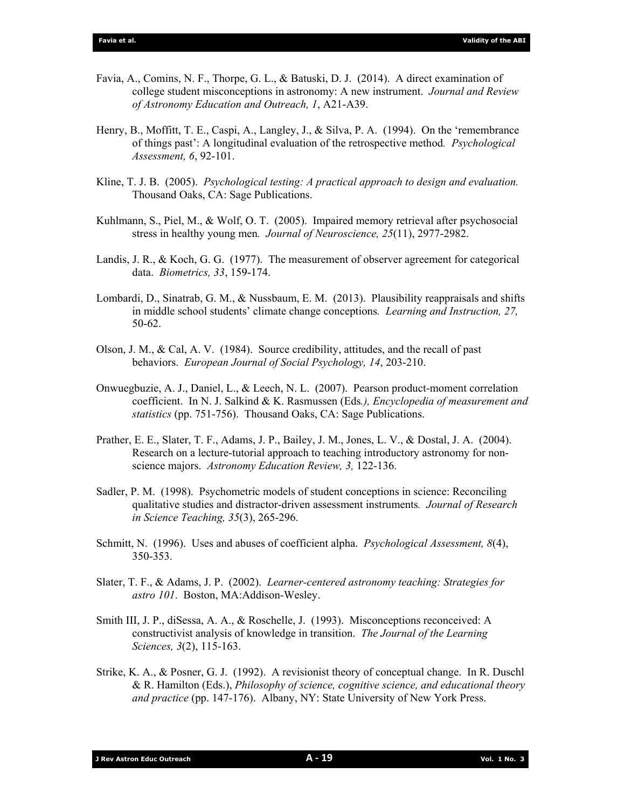- Favia, A., Comins, N. F., Thorpe, G. L., & Batuski, D. J. (2014). A direct examination of college student misconceptions in astronomy: A new instrument. *Journal and Review of Astronomy Education and Outreach, 1*, A21-A39.
- Henry, B., Moffitt, T. E., Caspi, A., Langley, J., & Silva, P. A. (1994). On the 'remembrance of things past': A longitudinal evaluation of the retrospective method*. Psychological Assessment, 6*, 92-101.
- Kline, T. J. B. (2005). *Psychological testing: A practical approach to design and evaluation.* Thousand Oaks, CA: Sage Publications.
- Kuhlmann, S., Piel, M., & Wolf, O. T. (2005). Impaired memory retrieval after psychosocial stress in healthy young men*. Journal of Neuroscience, 25*(11), 2977-2982.
- Landis, J. R., & Koch, G. G. (1977). The measurement of observer agreement for categorical data. *Biometrics, 33*, 159-174.
- Lombardi, D., Sinatrab, G. M., & Nussbaum, E. M. (2013). Plausibility reappraisals and shifts in middle school students' climate change conceptions*. Learning and Instruction, 27,* 50-62.
- Olson, J. M., & Cal, A. V. (1984). Source credibility, attitudes, and the recall of past behaviors. *European Journal of Social Psychology, 14*, 203-210.
- Onwuegbuzie, A. J., Daniel, L., & Leech, N. L. (2007). Pearson product-moment correlation coefficient. In N. J. Salkind & K. Rasmussen (Eds*.), Encyclopedia of measurement and statistics* (pp. 751-756). Thousand Oaks, CA: Sage Publications.
- Prather, E. E., Slater, T. F., Adams, J. P., Bailey, J. M., Jones, L. V., & Dostal, J. A. (2004). Research on a lecture-tutorial approach to teaching introductory astronomy for nonscience majors. *Astronomy Education Review, 3,* 122-136.
- Sadler, P. M. (1998). Psychometric models of student conceptions in science: Reconciling qualitative studies and distractor-driven assessment instruments*. Journal of Research in Science Teaching, 35*(3), 265-296.
- Schmitt, N. (1996). Uses and abuses of coefficient alpha. *Psychological Assessment, 8*(4), 350-353.
- Slater, T. F., & Adams, J. P. (2002). *Learner-centered astronomy teaching: Strategies for astro 101*. Boston, MA:Addison-Wesley.
- Smith III, J. P., diSessa, A. A., & Roschelle, J. (1993). Misconceptions reconceived: A constructivist analysis of knowledge in transition. *The Journal of the Learning Sciences, 3*(2), 115-163.
- Strike, K. A., & Posner, G. J. (1992). A revisionist theory of conceptual change. In R. Duschl & R. Hamilton (Eds.), *Philosophy of science, cognitive science, and educational theory and practice* (pp. 147-176). Albany, NY: State University of New York Press.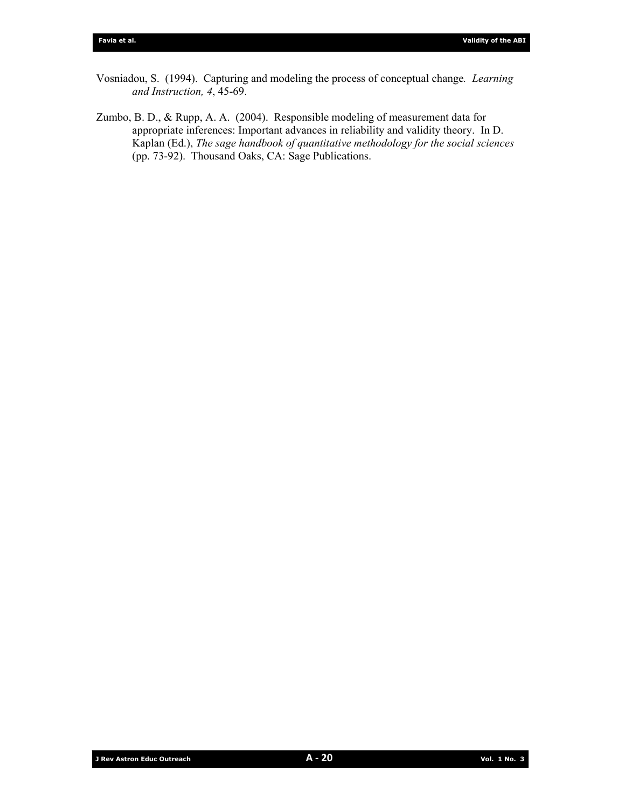- Vosniadou, S. (1994). Capturing and modeling the process of conceptual change*. Learning and Instruction, 4*, 45-69.
- Zumbo, B. D., & Rupp, A. A. (2004). Responsible modeling of measurement data for appropriate inferences: Important advances in reliability and validity theory. In D. Kaplan (Ed.), *The sage handbook of quantitative methodology for the social sciences* (pp. 73-92). Thousand Oaks, CA: Sage Publications.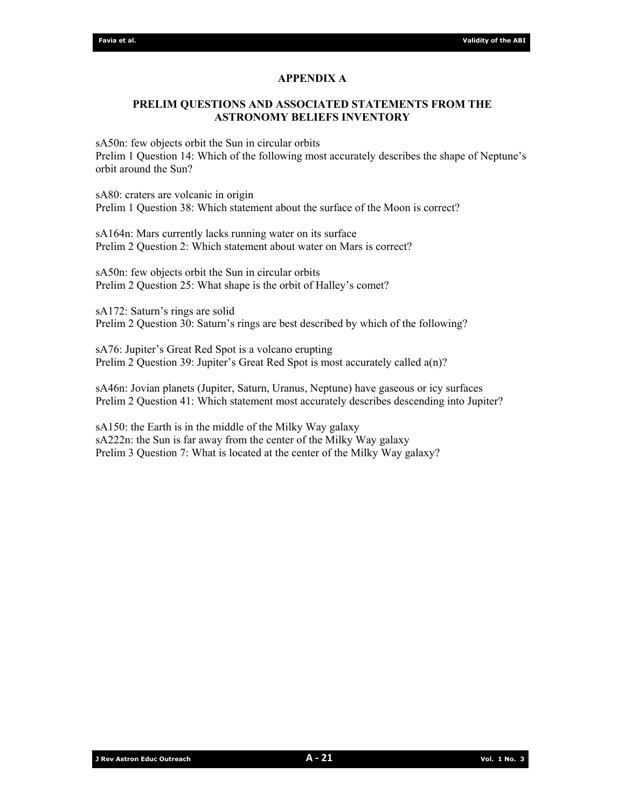# **APPENDIX A**

# **PRELIM QUESTIONS AND ASSOCIATED STATEMENTS FROM THE ASTRONOMY BELIEFS INVENTORY**

sA50n: few objects orbit the Sun in circular orbits Prelim 1 Question 14: Which of the following most accurately describes the shape of Neptune's orbit around the Sun?

sA80: craters are volcanic in origin Prelim 1 Question 38: Which statement about the surface of the Moon is correct?

sA164n: Mars currently lacks running water on its surface Prelim 2 Question 2: Which statement about water on Mars is correct?

sA50n: few objects orbit the Sun in circular orbits Prelim 2 Question 25: What shape is the orbit of Halley's comet?

sA172: Saturn's rings are solid Prelim 2 Question 30: Saturn's rings are best described by which of the following?

sA76: Jupiter's Great Red Spot is a volcano erupting Prelim 2 Question 39: Jupiter's Great Red Spot is most accurately called a(n)?

sA46n: Jovian planets (Jupiter, Saturn, Uranus, Neptune) have gaseous or icy surfaces Prelim 2 Question 41: Which statement most accurately describes descending into Jupiter?

sA150: the Earth is in the middle of the Milky Way galaxy sA222n: the Sun is far away from the center of the Milky Way galaxy Prelim 3 Question 7: What is located at the center of the Milky Way galaxy?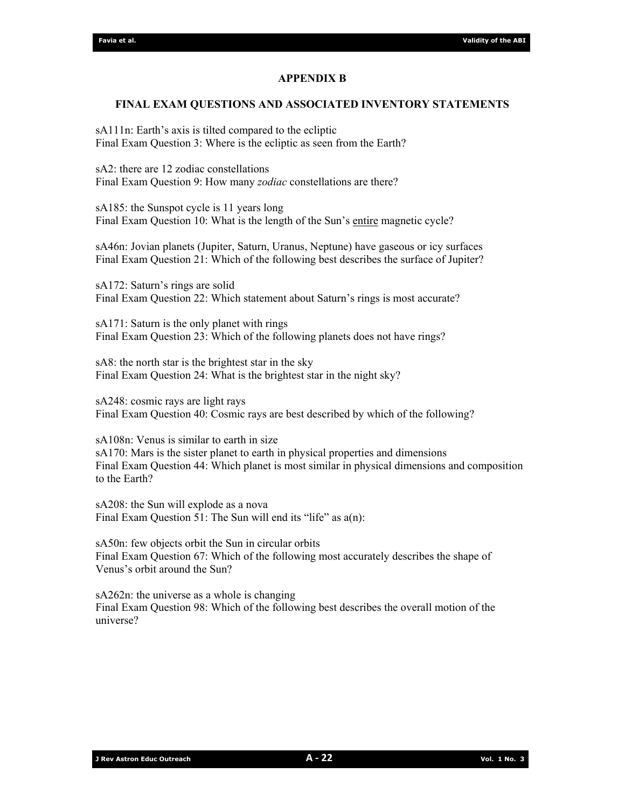## **APPENDIX B**

## **FINAL EXAM QUESTIONS AND ASSOCIATED INVENTORY STATEMENTS**

sA111n: Earth's axis is tilted compared to the ecliptic Final Exam Question 3: Where is the ecliptic as seen from the Earth?

sA2: there are 12 zodiac constellations Final Exam Question 9: How many *zodiac* constellations are there?

sA185: the Sunspot cycle is 11 years long Final Exam Question 10: What is the length of the Sun's entire magnetic cycle?

sA46n: Jovian planets (Jupiter, Saturn, Uranus, Neptune) have gaseous or icy surfaces Final Exam Question 21: Which of the following best describes the surface of Jupiter?

sA172: Saturn's rings are solid Final Exam Question 22: Which statement about Saturn's rings is most accurate?

sA171: Saturn is the only planet with rings Final Exam Question 23: Which of the following planets does not have rings?

sA8: the north star is the brightest star in the sky Final Exam Question 24: What is the brightest star in the night sky?

sA248: cosmic rays are light rays Final Exam Question 40: Cosmic rays are best described by which of the following?

sA108n: Venus is similar to earth in size sA170: Mars is the sister planet to earth in physical properties and dimensions Final Exam Question 44: Which planet is most similar in physical dimensions and composition to the Earth?

sA208: the Sun will explode as a nova Final Exam Question 51: The Sun will end its "life" as  $a(n)$ :

sA50n: few objects orbit the Sun in circular orbits Final Exam Question 67: Which of the following most accurately describes the shape of Venus's orbit around the Sun?

sA262n: the universe as a whole is changing Final Exam Question 98: Which of the following best describes the overall motion of the universe?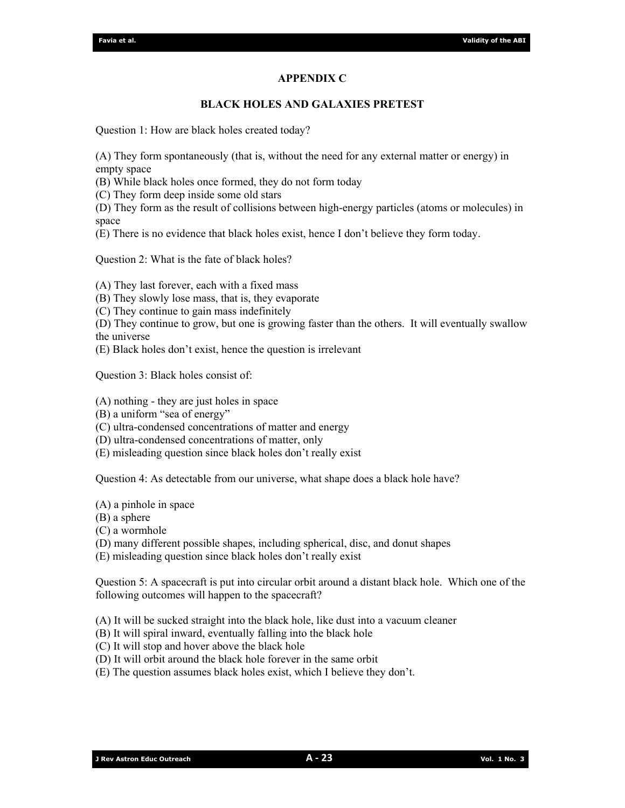## **APPENDIX C**

## **BLACK HOLES AND GALAXIES PRETEST**

Question 1: How are black holes created today?

(A) They form spontaneously (that is, without the need for any external matter or energy) in empty space

(B) While black holes once formed, they do not form today

(C) They form deep inside some old stars

(D) They form as the result of collisions between high-energy particles (atoms or molecules) in space

(E) There is no evidence that black holes exist, hence I don't believe they form today.

Question 2: What is the fate of black holes?

(A) They last forever, each with a fixed mass

(B) They slowly lose mass, that is, they evaporate

(C) They continue to gain mass indefinitely

- (D) They continue to grow, but one is growing faster than the others. It will eventually swallow the universe
- (E) Black holes don't exist, hence the question is irrelevant

Question 3: Black holes consist of:

(A) nothing - they are just holes in space

(B) a uniform "sea of energy"

- (C) ultra-condensed concentrations of matter and energy
- (D) ultra-condensed concentrations of matter, only
- (E) misleading question since black holes don't really exist

Question 4: As detectable from our universe, what shape does a black hole have?

- (A) a pinhole in space
- (B) a sphere

(C) a wormhole

(D) many different possible shapes, including spherical, disc, and donut shapes

(E) misleading question since black holes don't really exist

Question 5: A spacecraft is put into circular orbit around a distant black hole. Which one of the following outcomes will happen to the spacecraft?

(A) It will be sucked straight into the black hole, like dust into a vacuum cleaner

(B) It will spiral inward, eventually falling into the black hole

(C) It will stop and hover above the black hole

(D) It will orbit around the black hole forever in the same orbit

(E) The question assumes black holes exist, which I believe they don't.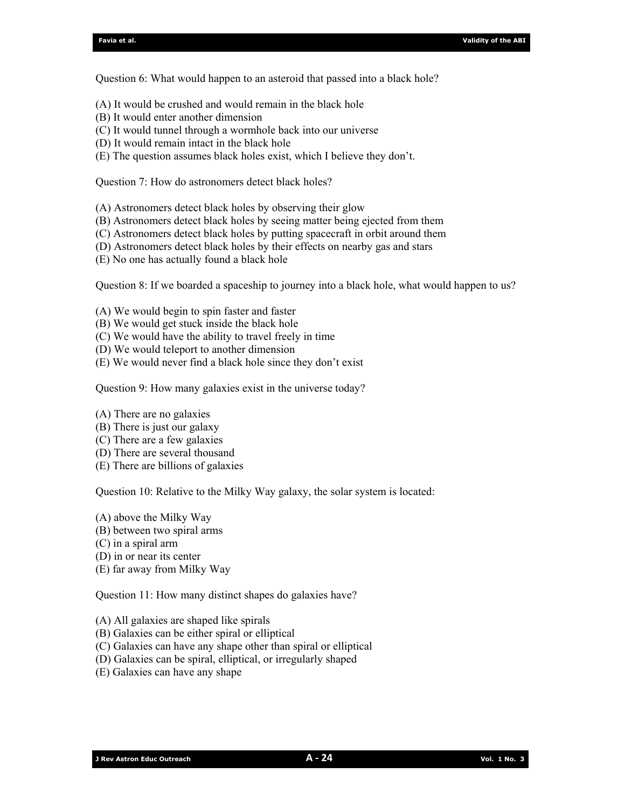Question 6: What would happen to an asteroid that passed into a black hole?

- (A) It would be crushed and would remain in the black hole
- (B) It would enter another dimension
- (C) It would tunnel through a wormhole back into our universe
- (D) It would remain intact in the black hole
- (E) The question assumes black holes exist, which I believe they don't.

Question 7: How do astronomers detect black holes?

(A) Astronomers detect black holes by observing their glow

- (B) Astronomers detect black holes by seeing matter being ejected from them
- (C) Astronomers detect black holes by putting spacecraft in orbit around them
- (D) Astronomers detect black holes by their effects on nearby gas and stars
- (E) No one has actually found a black hole

Question 8: If we boarded a spaceship to journey into a black hole, what would happen to us?

- (A) We would begin to spin faster and faster
- (B) We would get stuck inside the black hole
- (C) We would have the ability to travel freely in time
- (D) We would teleport to another dimension
- (E) We would never find a black hole since they don't exist

Question 9: How many galaxies exist in the universe today?

- (A) There are no galaxies
- (B) There is just our galaxy
- (C) There are a few galaxies
- (D) There are several thousand
- (E) There are billions of galaxies

Question 10: Relative to the Milky Way galaxy, the solar system is located:

- (A) above the Milky Way
- (B) between two spiral arms
- (C) in a spiral arm
- (D) in or near its center
- (E) far away from Milky Way

Question 11: How many distinct shapes do galaxies have?

- (A) All galaxies are shaped like spirals
- (B) Galaxies can be either spiral or elliptical
- (C) Galaxies can have any shape other than spiral or elliptical
- (D) Galaxies can be spiral, elliptical, or irregularly shaped
- (E) Galaxies can have any shape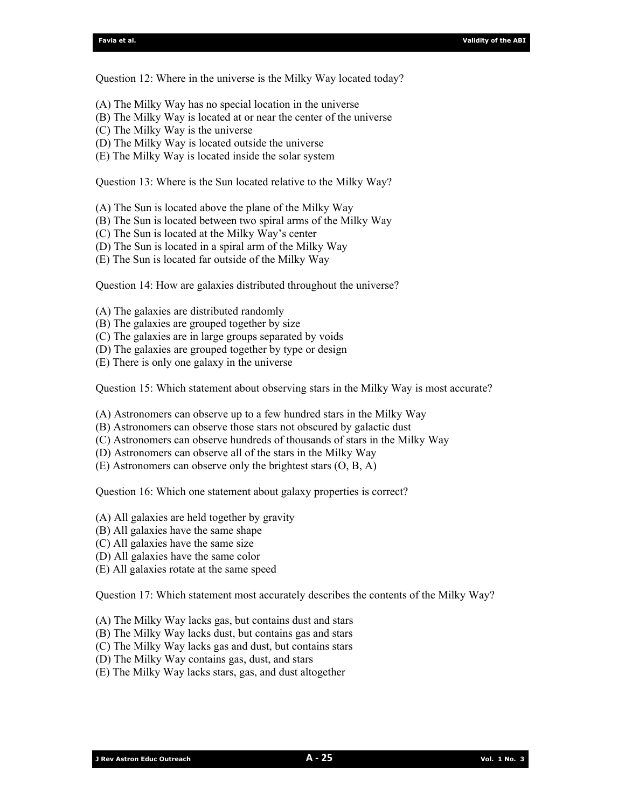Question 12: Where in the universe is the Milky Way located today?

- (A) The Milky Way has no special location in the universe
- (B) The Milky Way is located at or near the center of the universe
- (C) The Milky Way is the universe
- (D) The Milky Way is located outside the universe
- (E) The Milky Way is located inside the solar system

Question 13: Where is the Sun located relative to the Milky Way?

- (A) The Sun is located above the plane of the Milky Way
- (B) The Sun is located between two spiral arms of the Milky Way
- (C) The Sun is located at the Milky Way's center
- (D) The Sun is located in a spiral arm of the Milky Way
- (E) The Sun is located far outside of the Milky Way

Question 14: How are galaxies distributed throughout the universe?

(A) The galaxies are distributed randomly

- (B) The galaxies are grouped together by size
- (C) The galaxies are in large groups separated by voids
- (D) The galaxies are grouped together by type or design
- (E) There is only one galaxy in the universe

Question 15: Which statement about observing stars in the Milky Way is most accurate?

(A) Astronomers can observe up to a few hundred stars in the Milky Way

- (B) Astronomers can observe those stars not obscured by galactic dust
- (C) Astronomers can observe hundreds of thousands of stars in the Milky Way
- (D) Astronomers can observe all of the stars in the Milky Way
- (E) Astronomers can observe only the brightest stars (O, B, A)

Question 16: Which one statement about galaxy properties is correct?

- (A) All galaxies are held together by gravity
- (B) All galaxies have the same shape
- (C) All galaxies have the same size
- (D) All galaxies have the same color
- (E) All galaxies rotate at the same speed

Question 17: Which statement most accurately describes the contents of the Milky Way?

- (A) The Milky Way lacks gas, but contains dust and stars
- (B) The Milky Way lacks dust, but contains gas and stars
- (C) The Milky Way lacks gas and dust, but contains stars
- (D) The Milky Way contains gas, dust, and stars
- (E) The Milky Way lacks stars, gas, and dust altogether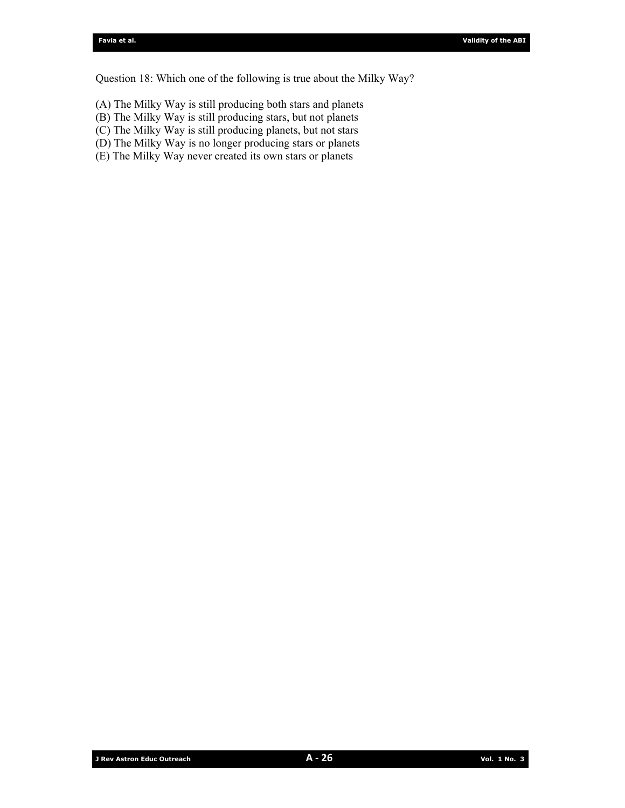Question 18: Which one of the following is true about the Milky Way?

- (A) The Milky Way is still producing both stars and planets
- (B) The Milky Way is still producing stars, but not planets
- (C) The Milky Way is still producing planets, but not stars
- (D) The Milky Way is no longer producing stars or planets
- (E) The Milky Way never created its own stars or planets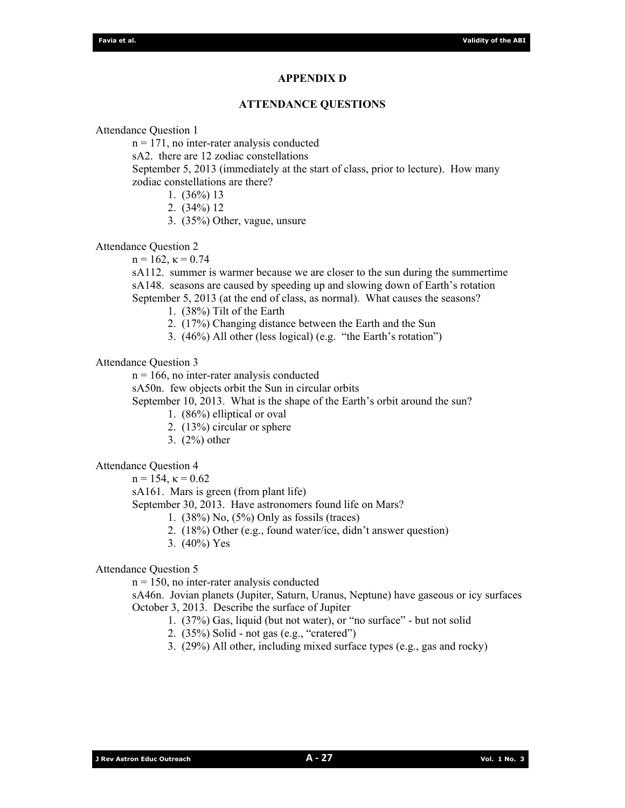#### **APPENDIX D**

#### **ATTENDANCE QUESTIONS**

Attendance Question 1

 $n = 171$ , no inter-rater analysis conducted

sA2. there are 12 zodiac constellations

September 5, 2013 (immediately at the start of class, prior to lecture). How many zodiac constellations are there?

- 1. (36%) 13
- 2. (34%) 12
- 3. (35%) Other, vague, unsure

Attendance Question 2

 $n = 162$ ,  $\kappa = 0.74$ 

sA112. summer is warmer because we are closer to the sun during the summertime sA148. seasons are caused by speeding up and slowing down of Earth's rotation September 5, 2013 (at the end of class, as normal). What causes the seasons?

1. (38%) Tilt of the Earth

2. (17%) Changing distance between the Earth and the Sun

3. (46%) All other (less logical) (e.g. "the Earth's rotation")

Attendance Question 3

 $n = 166$ , no inter-rater analysis conducted

sA50n. few objects orbit the Sun in circular orbits

September 10, 2013. What is the shape of the Earth's orbit around the sun?

- 1. (86%) elliptical or oval
- 2. (13%) circular or sphere
- 3. (2%) other

Attendance Question 4

 $n = 154$ ,  $\kappa = 0.62$ 

sA161. Mars is green (from plant life)

September 30, 2013. Have astronomers found life on Mars?

- 1. (38%) No, (5%) Only as fossils (traces)
- 2. (18%) Other (e.g., found water/ice, didn't answer question)
- 3. (40%) Yes

## Attendance Question 5

 $n = 150$ , no inter-rater analysis conducted

sA46n. Jovian planets (Jupiter, Saturn, Uranus, Neptune) have gaseous or icy surfaces October 3, 2013. Describe the surface of Jupiter

- 1. (37%) Gas, liquid (but not water), or "no surface" but not solid
- 2. (35%) Solid not gas (e.g., "cratered")
- 3. (29%) All other, including mixed surface types (e.g., gas and rocky)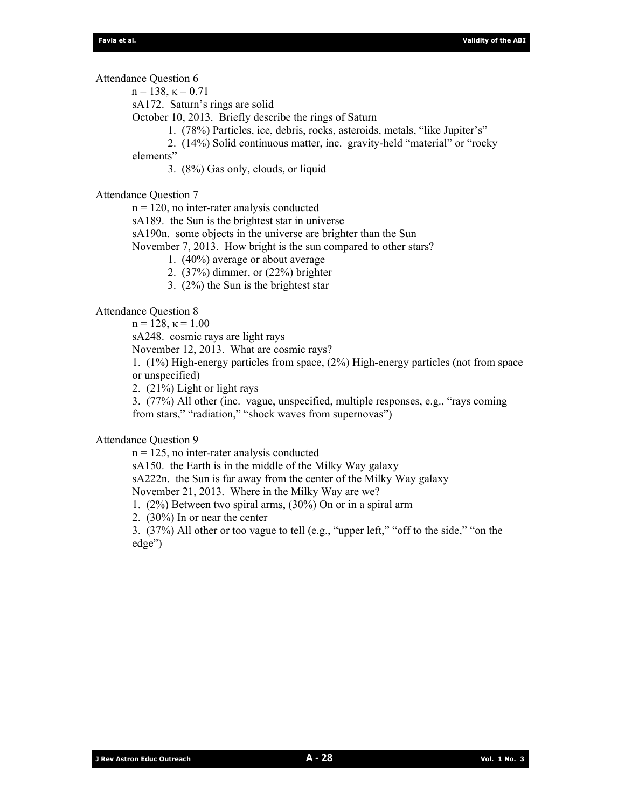Attendance Question 6

 $n = 138$ ,  $\kappa = 0.71$ 

sA172. Saturn's rings are solid

October 10, 2013. Briefly describe the rings of Saturn

1. (78%) Particles, ice, debris, rocks, asteroids, metals, "like Jupiter's"

 2. (14%) Solid continuous matter, inc. gravity-held "material" or "rocky elements"

3. (8%) Gas only, clouds, or liquid

Attendance Question 7

 $n = 120$ , no inter-rater analysis conducted

sA189. the Sun is the brightest star in universe

sA190n. some objects in the universe are brighter than the Sun

November 7, 2013. How bright is the sun compared to other stars?

1. (40%) average or about average

2. (37%) dimmer, or (22%) brighter

3. (2%) the Sun is the brightest star

Attendance Question 8

 $n = 128, \kappa = 1.00$ 

sA248. cosmic rays are light rays

November 12, 2013. What are cosmic rays?

1. (1%) High-energy particles from space, (2%) High-energy particles (not from space or unspecified)

2. (21%) Light or light rays

3. (77%) All other (inc. vague, unspecified, multiple responses, e.g., "rays coming from stars," "radiation," "shock waves from supernovas")

# Attendance Question 9

 $n = 125$ , no inter-rater analysis conducted sA150. the Earth is in the middle of the Milky Way galaxy sA222n. the Sun is far away from the center of the Milky Way galaxy November 21, 2013. Where in the Milky Way are we? 1. (2%) Between two spiral arms, (30%) On or in a spiral arm

2. (30%) In or near the center

3. (37%) All other or too vague to tell (e.g., "upper left," "off to the side," "on the edge")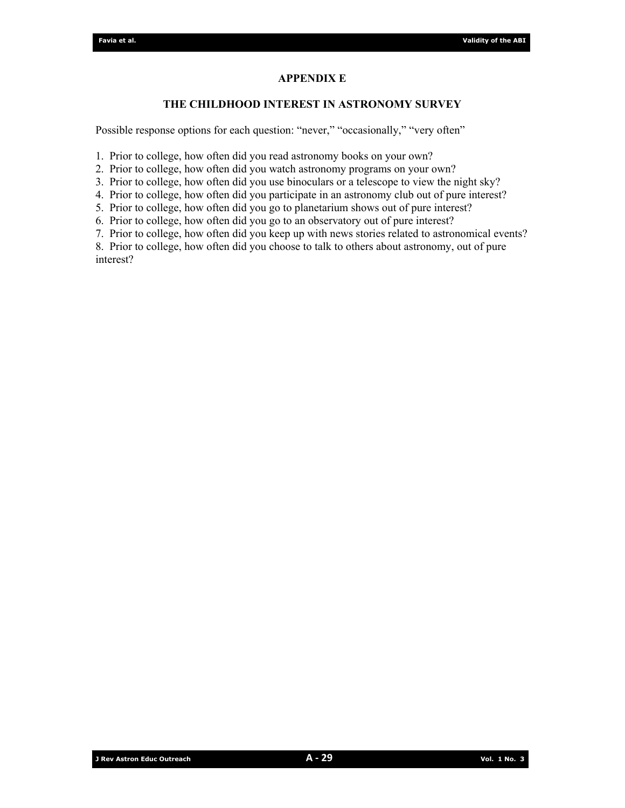# **APPENDIX E**

## **THE CHILDHOOD INTEREST IN ASTRONOMY SURVEY**

Possible response options for each question: "never," "occasionally," "very often"

1. Prior to college, how often did you read astronomy books on your own?

2. Prior to college, how often did you watch astronomy programs on your own?

3. Prior to college, how often did you use binoculars or a telescope to view the night sky?

4. Prior to college, how often did you participate in an astronomy club out of pure interest?

5. Prior to college, how often did you go to planetarium shows out of pure interest?

6. Prior to college, how often did you go to an observatory out of pure interest?

7. Prior to college, how often did you keep up with news stories related to astronomical events?

8. Prior to college, how often did you choose to talk to others about astronomy, out of pure interest?